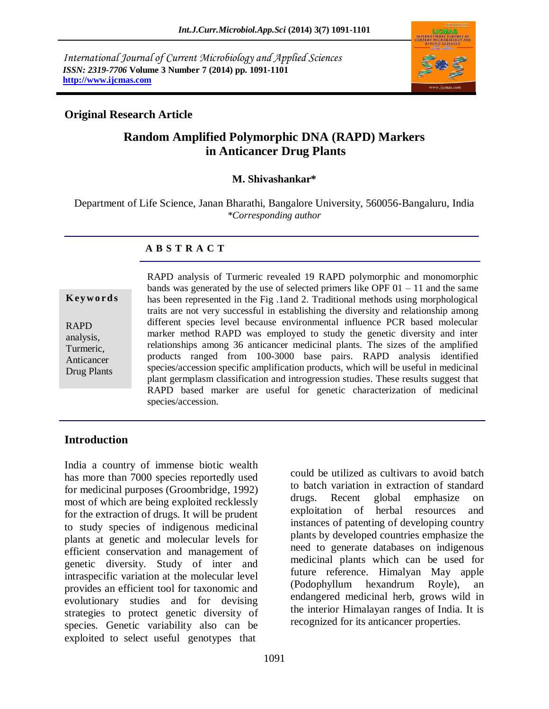*International Journal of Current Microbiology and Applied Sciences ISSN: 2319-7706* **Volume 3 Number 7 (2014) pp. 1091-1101 http://www.ijcmas.com**



## **Original Research Article**

# **Random Amplified Polymorphic DNA (RAPD) Markers in Anticancer Drug Plants**

#### **M. Shivashankar\***

Department of Life Science, Janan Bharathi, Bangalore University, 560056-Bangaluru, India *\*Corresponding author*

#### **A B S T R A C T**

#### **K ey w o rd s**

RAPD analysis, Turmeric, Anticancer Drug Plants

RAPD analysis of Turmeric revealed 19 RAPD polymorphic and monomorphic bands was generated by the use of selected primers like OPF  $01 - 11$  and the same has been represented in the Fig .1and 2. Traditional methods using morphological traits are not very successful in establishing the diversity and relationship among different species level because environmental influence PCR based molecular marker method RAPD was employed to study the genetic diversity and inter relationships among 36 anticancer medicinal plants. The sizes of the amplified products ranged from 100-3000 base pairs. RAPD analysis identified species/accession specific amplification products, which will be useful in medicinal plant germplasm classification and introgression studies. These results suggest that RAPD based marker are useful for genetic characterization of medicinal species/accession.

### **Introduction**

India a country of immense biotic wealth has more than 7000 species reportedly used for medicinal purposes (Groombridge, 1992) most of which are being exploited recklessly for the extraction of drugs. It will be prudent to study species of indigenous medicinal plants at genetic and molecular levels for efficient conservation and management of genetic diversity. Study of inter and intraspecific variation at the molecular level provides an efficient tool for taxonomic and evolutionary studies and for devising strategies to protect genetic diversity of species. Genetic variability also can be exploited to select useful genotypes that

could be utilized as cultivars to avoid batch to batch variation in extraction of standard drugs. Recent global emphasize on exploitation of herbal resources and instances of patenting of developing country plants by developed countries emphasize the need to generate databases on indigenous medicinal plants which can be used for future reference. Himalyan May apple (Podophyllum hexandrum Royle), an endangered medicinal herb, grows wild in the interior Himalayan ranges of India. It is recognized for its anticancer properties.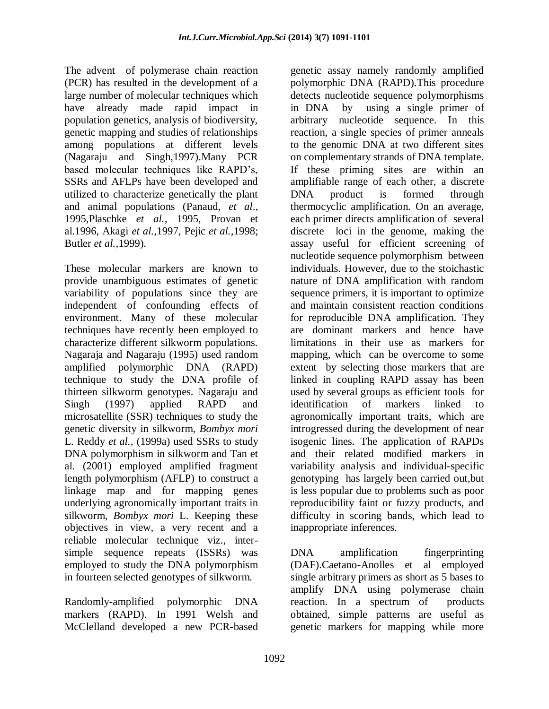The advent of polymerase chain reaction (PCR) has resulted in the development of a large number of molecular techniques which have already made rapid impact in population genetics, analysis of biodiversity, genetic mapping and studies of relationships among populations at different levels (Nagaraju and Singh,1997).Many PCR based molecular techniques like RAPD"s, SSRs and AFLPs have been developed and utilized to characterize genetically the plant and animal populations (Panaud, *et al*., 1995,Plaschke *et al.,* 1995, Provan et al.1996, Akagi *et al.,*1997, Pejic *et al.,*1998; Butler *et al.,*1999).

These molecular markers are known to provide unambiguous estimates of genetic variability of populations since they are independent of confounding effects of environment. Many of these molecular techniques have recently been employed to characterize different silkworm populations. Nagaraja and Nagaraju (1995) used random amplified polymorphic DNA (RAPD) technique to study the DNA profile of thirteen silkworm genotypes. Nagaraju and Singh (1997) applied RAPD and microsatellite (SSR) techniques to study the genetic diversity in silkworm, *Bombyx mori* L. Reddy *et al.,* (1999a) used SSRs to study DNA polymorphism in silkworm and Tan et al. (2001) employed amplified fragment length polymorphism (AFLP) to construct a linkage map and for mapping genes underlying agronomically important traits in silkworm, *Bombyx mori* L. Keeping these objectives in view, a very recent and a reliable molecular technique viz., intersimple sequence repeats (ISSRs) was employed to study the DNA polymorphism in fourteen selected genotypes of silkworm.

Randomly-amplified polymorphic DNA markers (RAPD). In 1991 Welsh and McClelland developed a new PCR-based genetic assay namely randomly amplified polymorphic DNA (RAPD).This procedure detects nucleotide sequence polymorphisms in DNA by using a single primer of arbitrary nucleotide sequence. In this reaction, a single species of primer anneals to the genomic DNA at two different sites on complementary strands of DNA template. If these priming sites are within an amplifiable range of each other, a discrete DNA product is formed through thermocyclic amplification. On an average, each primer directs amplification of several discrete loci in the genome, making the assay useful for efficient screening of nucleotide sequence polymorphism between individuals. However, due to the stoichastic nature of DNA amplification with random sequence primers, it is important to optimize and maintain consistent reaction conditions for reproducible DNA amplification. They are dominant markers and hence have limitations in their use as markers for mapping, which can be overcome to some extent by selecting those markers that are linked in coupling RAPD assay has been used by several groups as efficient tools for identification of markers linked to agronomically important traits, which are introgressed during the development of near isogenic lines. The application of RAPDs and their related modified markers in variability analysis and individual-specific genotyping has largely been carried out,but is less popular due to problems such as poor reproducibility faint or fuzzy products, and difficulty in scoring bands, which lead to inappropriate inferences.

DNA amplification fingerprinting (DAF).Caetano-Anolles et al employed single arbitrary primers as short as 5 bases to amplify DNA using polymerase chain reaction. In a spectrum of products obtained, simple patterns are useful as genetic markers for mapping while more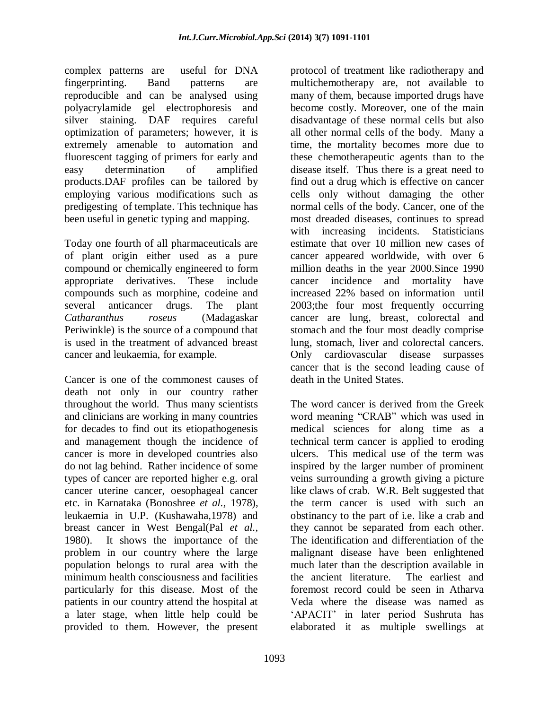complex patterns are useful for DNA fingerprinting. Band patterns are reproducible and can be analysed using polyacrylamide gel electrophoresis and silver staining. DAF requires careful optimization of parameters; however, it is extremely amenable to automation and fluorescent tagging of primers for early and easy determination of amplified products.DAF profiles can be tailored by employing various modifications such as predigesting of template. This technique has been useful in genetic typing and mapping.

Today one fourth of all pharmaceuticals are of plant origin either used as a pure compound or chemically engineered to form appropriate derivatives. These include compounds such as morphine, codeine and several anticancer drugs. The plant *Catharanthus roseus* (Madagaskar Periwinkle) is the source of a compound that is used in the treatment of advanced breast cancer and leukaemia, for example.

Cancer is one of the commonest causes of death not only in our country rather throughout the world. Thus many scientists and clinicians are working in many countries for decades to find out its etiopathogenesis and management though the incidence of cancer is more in developed countries also do not lag behind. Rather incidence of some types of cancer are reported higher e.g. oral cancer uterine cancer, oesophageal cancer etc. in Karnataka (Bonoshree *et al.,* 1978), leukaemia in U.P. (Kushawaha,1978) and breast cancer in West Bengal(Pal *et al.,* 1980). It shows the importance of the problem in our country where the large population belongs to rural area with the minimum health consciousness and facilities particularly for this disease. Most of the patients in our country attend the hospital at a later stage, when little help could be provided to them. However, the present

protocol of treatment like radiotherapy and multichemotherapy are, not available to many of them, because imported drugs have become costly. Moreover, one of the main disadvantage of these normal cells but also all other normal cells of the body. Many a time, the mortality becomes more due to these chemotherapeutic agents than to the disease itself. Thus there is a great need to find out a drug which is effective on cancer cells only without damaging the other normal cells of the body. Cancer, one of the most dreaded diseases, continues to spread with increasing incidents. Statisticians estimate that over 10 million new cases of cancer appeared worldwide, with over 6 million deaths in the year 2000.Since 1990 cancer incidence and mortality have increased 22% based on information until 2003;the four most frequently occurring cancer are lung, breast, colorectal and stomach and the four most deadly comprise lung, stomach, liver and colorectal cancers. Only cardiovascular disease surpasses cancer that is the second leading cause of death in the United States.

The word cancer is derived from the Greek word meaning "CRAB" which was used in medical sciences for along time as a technical term cancer is applied to eroding ulcers. This medical use of the term was inspired by the larger number of prominent veins surrounding a growth giving a picture like claws of crab. W.R. Belt suggested that the term cancer is used with such an obstinancy to the part of i.e. like a crab and they cannot be separated from each other. The identification and differentiation of the malignant disease have been enlightened much later than the description available in the ancient literature. The earliest and foremost record could be seen in Atharva Veda where the disease was named as "APACIT" in later period Sushruta has elaborated it as multiple swellings at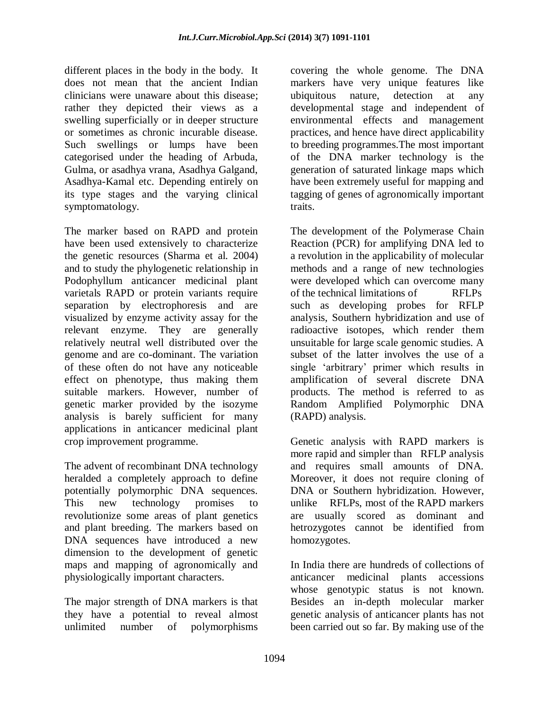different places in the body in the body. It does not mean that the ancient Indian clinicians were unaware about this disease; rather they depicted their views as a swelling superficially or in deeper structure or sometimes as chronic incurable disease. Such swellings or lumps have been categorised under the heading of Arbuda, Gulma, or asadhya vrana, Asadhya Galgand, Asadhya-Kamal etc. Depending entirely on its type stages and the varying clinical symptomatology.

The marker based on RAPD and protein have been used extensively to characterize the genetic resources (Sharma et al. 2004) and to study the phylogenetic relationship in Podophyllum anticancer medicinal plant varietals RAPD or protein variants require separation by electrophoresis and are visualized by enzyme activity assay for the relevant enzyme. They are generally relatively neutral well distributed over the genome and are co-dominant. The variation of these often do not have any noticeable effect on phenotype, thus making them suitable markers. However, number of genetic marker provided by the isozyme analysis is barely sufficient for many applications in anticancer medicinal plant crop improvement programme.

The advent of recombinant DNA technology heralded a completely approach to define potentially polymorphic DNA sequences. This new technology promises to revolutionize some areas of plant genetics and plant breeding. The markers based on DNA sequences have introduced a new dimension to the development of genetic maps and mapping of agronomically and physiologically important characters.

The major strength of DNA markers is that they have a potential to reveal almost unlimited number of polymorphisms

covering the whole genome. The DNA markers have very unique features like ubiquitous nature, detection at any developmental stage and independent of environmental effects and management practices, and hence have direct applicability to breeding programmes.The most important of the DNA marker technology is the generation of saturated linkage maps which have been extremely useful for mapping and tagging of genes of agronomically important traits.

The development of the Polymerase Chain Reaction (PCR) for amplifying DNA led to a revolution in the applicability of molecular methods and a range of new technologies were developed which can overcome many of the technical limitations of RFLPs such as developing probes for RFLP analysis, Southern hybridization and use of radioactive isotopes, which render them unsuitable for large scale genomic studies. A subset of the latter involves the use of a single "arbitrary" primer which results in amplification of several discrete DNA products. The method is referred to as Random Amplified Polymorphic DNA (RAPD) analysis.

Genetic analysis with RAPD markers is more rapid and simpler than RFLP analysis and requires small amounts of DNA. Moreover, it does not require cloning of DNA or Southern hybridization. However, unlike RFLPs, most of the RAPD markers are usually scored as dominant and hetrozygotes cannot be identified from homozygotes.

In India there are hundreds of collections of anticancer medicinal plants accessions whose genotypic status is not known. Besides an in-depth molecular marker genetic analysis of anticancer plants has not been carried out so far. By making use of the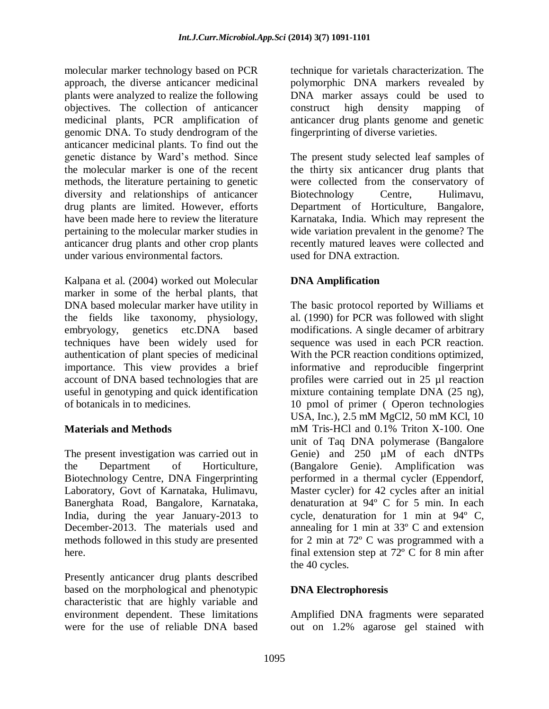molecular marker technology based on PCR approach, the diverse anticancer medicinal plants were analyzed to realize the following objectives. The collection of anticancer medicinal plants, PCR amplification of genomic DNA. To study dendrogram of the anticancer medicinal plants. To find out the genetic distance by Ward"s method. Since the molecular marker is one of the recent methods, the literature pertaining to genetic diversity and relationships of anticancer drug plants are limited. However, efforts have been made here to review the literature pertaining to the molecular marker studies in anticancer drug plants and other crop plants under various environmental factors.

Kalpana et al. (2004) worked out Molecular marker in some of the herbal plants, that DNA based molecular marker have utility in the fields like taxonomy, physiology, embryology, genetics etc.DNA based techniques have been widely used for authentication of plant species of medicinal importance. This view provides a brief account of DNA based technologies that are useful in genotyping and quick identification of botanicals in to medicines.

### **Materials and Methods**

The present investigation was carried out in the Department of Horticulture, Biotechnology Centre, DNA Fingerprinting Laboratory, Govt of Karnataka, Hulimavu, Banerghata Road, Bangalore, Karnataka, India, during the year January-2013 to December-2013. The materials used and methods followed in this study are presented here.

Presently anticancer drug plants described based on the morphological and phenotypic characteristic that are highly variable and environment dependent. These limitations were for the use of reliable DNA based technique for varietals characterization. The polymorphic DNA markers revealed by DNA marker assays could be used to construct high density mapping of anticancer drug plants genome and genetic fingerprinting of diverse varieties.

The present study selected leaf samples of the thirty six anticancer drug plants that were collected from the conservatory of Biotechnology Centre, Hulimavu, Department of Horticulture, Bangalore, Karnataka, India. Which may represent the wide variation prevalent in the genome? The recently matured leaves were collected and used for DNA extraction.

## **DNA Amplification**

The basic protocol reported by Williams et al. (1990) for PCR was followed with slight modifications. A single decamer of arbitrary sequence was used in each PCR reaction. With the PCR reaction conditions optimized, informative and reproducible fingerprint profiles were carried out in 25 µl reaction mixture containing template DNA (25 ng), 10 pmol of primer ( Operon technologies USA, Inc.), 2.5 mM MgCl2, 50 mM KCl, 10 mM Tris-HCl and 0.1% Triton X-100. One unit of Taq DNA polymerase (Bangalore Genie) and 250  $\mu$ M of each dNTPs (Bangalore Genie). Amplification was performed in a thermal cycler (Eppendorf, Master cycler) for 42 cycles after an initial denaturation at 94º C for 5 min. In each cycle, denaturation for 1 min at 94º C, annealing for 1 min at 33º C and extension for 2 min at 72º C was programmed with a final extension step at  $72^{\circ}$  C for 8 min after the 40 cycles.

## **DNA Electrophoresis**

Amplified DNA fragments were separated out on 1.2% agarose gel stained with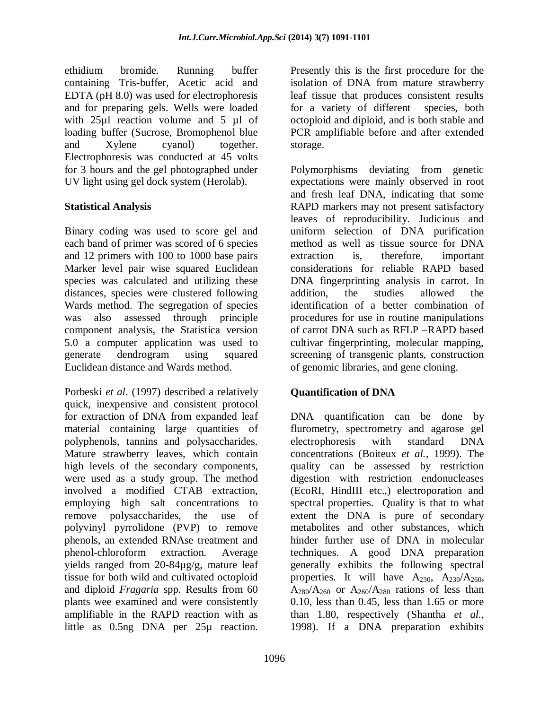ethidium bromide. Running buffer containing Tris-buffer, Acetic acid and EDTA (pH 8.0) was used for electrophoresis and for preparing gels. Wells were loaded with 25ul reaction volume and 5 ul of loading buffer (Sucrose, Bromophenol blue and Xylene cyanol) together. Electrophoresis was conducted at 45 volts for 3 hours and the gel photographed under UV light using gel dock system (Herolab).

### **Statistical Analysis**

Binary coding was used to score gel and each band of primer was scored of 6 species and 12 primers with 100 to 1000 base pairs Marker level pair wise squared Euclidean species was calculated and utilizing these distances, species were clustered following Wards method. The segregation of species was also assessed through principle component analysis, the Statistica version 5.0 a computer application was used to generate dendrogram using squared Euclidean distance and Wards method.

Porbeski *et al*. (1997) described a relatively quick, inexpensive and consistent protocol for extraction of DNA from expanded leaf material containing large quantities of polyphenols, tannins and polysaccharides. Mature strawberry leaves, which contain high levels of the secondary components, were used as a study group. The method involved a modified CTAB extraction, employing high salt concentrations to remove polysaccharides, the use of polyvinyl pyrrolidone (PVP) to remove phenols, an extended RNAse treatment and phenol-chloroform extraction. Average yields ranged from 20-84µg/g, mature leaf tissue for both wild and cultivated octoploid and diploid *Fragaria* spp. Results from 60 plants wee examined and were consistently amplifiable in the RAPD reaction with as little as 0.5ng DNA per 25µ reaction.

Presently this is the first procedure for the isolation of DNA from mature strawberry leaf tissue that produces consistent results for a variety of different species, both octoploid and diploid, and is both stable and PCR amplifiable before and after extended storage.

Polymorphisms deviating from genetic expectations were mainly observed in root and fresh leaf DNA, indicating that some RAPD markers may not present satisfactory leaves of reproducibility. Judicious and uniform selection of DNA purification method as well as tissue source for DNA extraction is, therefore, important considerations for reliable RAPD based DNA fingerprinting analysis in carrot. In addition, the studies allowed the identification of a better combination of procedures for use in routine manipulations of carrot DNA such as RFLP –RAPD based cultivar fingerprinting, molecular mapping, screening of transgenic plants, construction of genomic libraries, and gene cloning.

## **Quantification of DNA**

DNA quantification can be done by flurometry, spectrometry and agarose gel electrophoresis with standard DNA concentrations (Boiteux *et al.,* 1999). The quality can be assessed by restriction digestion with restriction endonucleases (EcoRI, HindIII etc.,) electroporation and spectral properties. Quality is that to what extent the DNA is pure of secondary metabolites and other substances, which hinder further use of DNA in molecular techniques. A good DNA preparation generally exhibits the following spectral properties. It will have  $A_{230}$ ,  $A_{230}/A_{260}$ ,  $A_{280}/A_{260}$  or  $A_{260}/A_{280}$  rations of less than 0.10, less than 0.45, less than 1.65 or more than 1.80, respectively (Shantha *et al.,* 1998). If a DNA preparation exhibits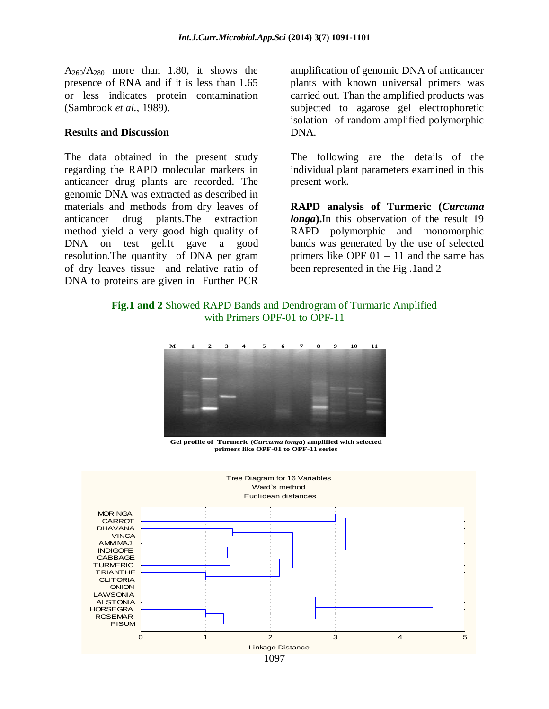$A_{260}/A_{280}$  more than 1.80, it shows the presence of RNA and if it is less than 1.65 or less indicates protein contamination (Sambrook *et al.,* 1989).

#### **Results and Discussion**

The data obtained in the present study regarding the RAPD molecular markers in anticancer drug plants are recorded. The genomic DNA was extracted as described in materials and methods from dry leaves of anticancer drug plants.The extraction method yield a very good high quality of DNA on test gel.It gave a good resolution.The quantity of DNA per gram of dry leaves tissue and relative ratio of DNA to proteins are given in Further PCR

amplification of genomic DNA of anticancer plants with known universal primers was carried out. Than the amplified products was subjected to agarose gel electrophoretic isolation of random amplified polymorphic DNA.

The following are the details of the individual plant parameters examined in this present work.

**RAPD analysis of Turmeric (***Curcuma longa***).**In this observation of the result 19 RAPD polymorphic and monomorphic bands was generated by the use of selected primers like OPF  $01 - 11$  and the same has been represented in the Fig .1and 2

#### **Fig.1 and 2** Showed RAPD Bands and Dendrogram of Turmaric Amplified with Primers OPF-01 to OPF-11



**Gel profile of Turmeric (***Curcuma longa***) amplified with selected primers like OPF-01 to OPF-11 series**

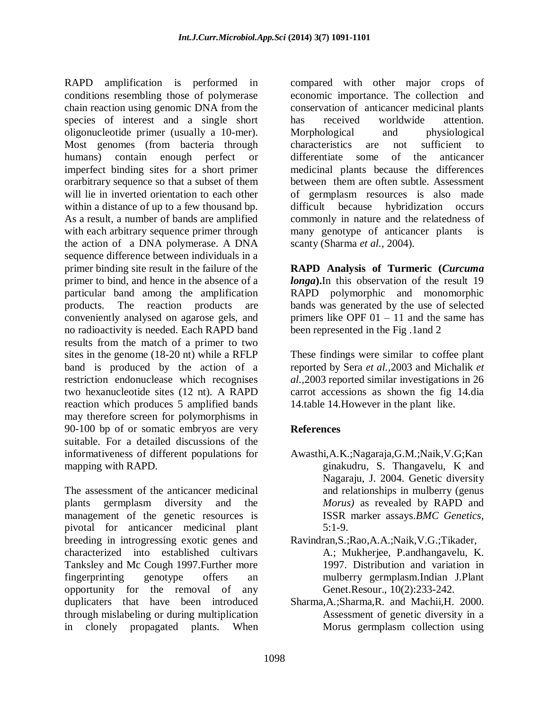RAPD amplification is performed in conditions resembling those of polymerase chain reaction using genomic DNA from the species of interest and a single short oligonucleotide primer (usually a 10-mer). Most genomes (from bacteria through humans) contain enough perfect or imperfect binding sites for a short primer orarbitrary sequence so that a subset of them will lie in inverted orientation to each other within a distance of up to a few thousand bp. As a result, a number of bands are amplified with each arbitrary sequence primer through the action of a DNA polymerase. A DNA sequence difference between individuals in a primer binding site result in the failure of the primer to bind, and hence in the absence of a particular band among the amplification products. The reaction products are conveniently analysed on agarose gels, and no radioactivity is needed. Each RAPD band results from the match of a primer to two sites in the genome (18-20 nt) while a RFLP band is produced by the action of a restriction endonuclease which recognises two hexanucleotide sites (12 nt). A RAPD reaction which produces 5 amplified bands may therefore screen for polymorphisms in 90-100 bp of or somatic embryos are very suitable. For a detailed discussions of the informativeness of different populations for mapping with RAPD.

The assessment of the anticancer medicinal plants germplasm diversity and the management of the genetic resources is pivotal for anticancer medicinal plant breeding in introgressing exotic genes and characterized into established cultivars Tanksley and Mc Cough 1997.Further more fingerprinting genotype offers an opportunity for the removal of any duplicaters that have been introduced through mislabeling or during multiplication in clonely propagated plants. When compared with other major crops of economic importance. The collection and conservation of anticancer medicinal plants has received worldwide attention. Morphological and physiological characteristics are not sufficient to differentiate some of the anticancer medicinal plants because the differences between them are often subtle. Assessment of germplasm resources is also made difficult because hybridization occurs commonly in nature and the relatedness of many genotype of anticancer plants is scanty (Sharma *et al.,* 2004).

**RAPD Analysis of Turmeric (***Curcuma longa***).**In this observation of the result 19 RAPD polymorphic and monomorphic bands was generated by the use of selected primers like OPF  $01 - 11$  and the same has been represented in the Fig .1and 2

These findings were similar to coffee plant reported by Sera *et al.,*2003 and Michalik *et al.,*2003 reported similar investigations in 26 carrot accessions as shown the fig 14.dia 14.table 14.However in the plant like.

## **References**

- Awasthi,A.K.;Nagaraja,G.M.;Naik,V.G;Kan ginakudru, S. Thangavelu, K and Nagaraju, J. 2004. Genetic diversity and relationships in mulberry (genus *Morus)* as revealed by RAPD and ISSR marker assays.*BMC Genetics,*   $5:1-9.$
- Ravindran,S.;Rao,A.A.;Naik,V.G.;Tikader, A.; Mukherjee, P.andhangavelu, K. 1997. Distribution and variation in mulberry germplasm.Indian J.Plant Genet.Resour., 10(2):233-242.
- Sharma,A.;Sharma,R. and Machii,H. 2000. Assessment of genetic diversity in a Morus germplasm collection using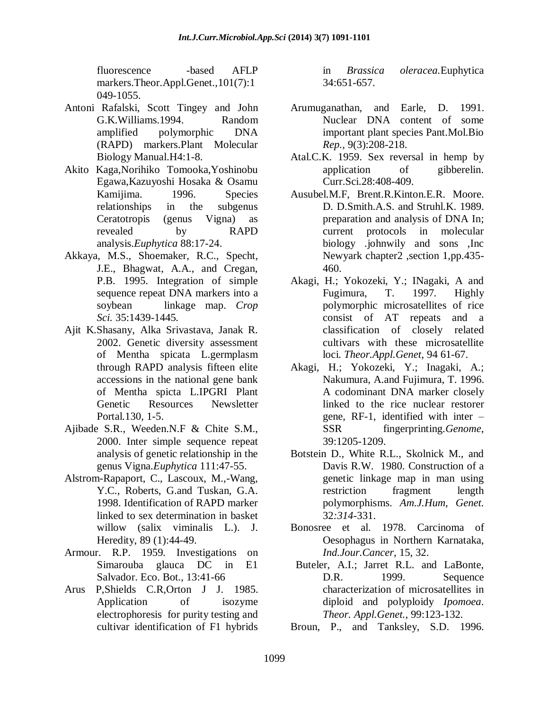fluorescence -based AFLP markers.Theor.Appl.Genet.,101(7):1 049-1055.

- Antoni Rafalski, Scott Tingey and John G.K.Williams.1994. Random amplified polymorphic DNA (RAPD) markers.Plant Molecular Biology Manual.H4:1-8.
- Akito Kaga,Norihiko Tomooka,Yoshinobu Egawa,Kazuyoshi Hosaka & Osamu Kamijima. 1996. Species relationships in the subgenus Ceratotropis (genus Vigna) as revealed by RAPD analysis.*Euphytica* 88:17-24.
- Akkaya, M.S., Shoemaker, R.C., Specht, J.E., Bhagwat, A.A., and Cregan, P.B. 1995. Integration of simple sequence repeat DNA markers into a soybean linkage map. *Crop Sci.* 35:1439-1445.
- Ajit K.Shasany, Alka Srivastava, Janak R. 2002. Genetic diversity assessment of Mentha spicata L.germplasm through RAPD analysis fifteen elite accessions in the national gene bank of Mentha spicta L.IPGRI Plant Genetic Resources Newsletter Portal.130, 1-5.
- Ajibade S.R., Weeden.N.F & Chite S.M., 2000. Inter simple sequence repeat analysis of genetic relationship in the genus Vigna.*Euphytica* 111:47-55.
- Alstrom-Rapaport, C., Lascoux, M.,-Wang, Y.C., Roberts, G.and Tuskan, G.A. 1998. Identification of RAPD marker linked to sex determination in basket willow (salix viminalis L.). J. Heredity, 89 (1):44-49.
- Armour. R.P. 1959. Investigations on Simarouba glauca DC in E1 Salvador. Eco. Bot., 13:41-66
- Arus P,Shields C.R,Orton J J. 1985. Application of isozyme electrophoresis for purity testing and cultivar identification of F1 hybrids

in *Brassica oleracea.*Euphytica 34:651-657.

- Arumuganathan, and Earle, D. 1991. Nuclear DNA content of some important plant species Pant.Mol.Bio *Rep.,* 9(3):208-218.
- Atal.C.K. 1959. Sex reversal in hemp by application of gibberelin. Curr.Sci.28:408-409.
- Ausubel.M.F, Brent.R.Kinton.E.R. Moore. D. D.Smith.A.S. and Struhl.K. 1989. preparation and analysis of DNA In; current protocols in molecular biology .johnwily and sons ,Inc Newyark chapter2 ,section 1,pp.435- 460.
- Akagi, H.; Yokozeki, Y.; INagaki, A and Fugimura, T. 1997. Highly polymorphic microsatellites of rice consist of AT repeats and a classification of closely related cultivars with these microsatellite loci. *Theor.Appl.Genet*, 94 61-67.
- Akagi, H.; Yokozeki, Y.; Inagaki, A.; Nakumura, A.and Fujimura, T. 1996. A codominant DNA marker closely linked to the rice nuclear restorer gene, RF-1, identified with inter – SSR fingerprinting.*Genome*, 39:1205-1209.
- Botstein D., White R.L., Skolnick M., and Davis R.W. 1980. Construction of a genetic linkage map in man using restriction fragment length polymorphisms. *Am.J.Hum, Genet.* 32*:314*-331.
- Bonosree et al. 1978. Carcinoma of Oesophagus in Northern Karnataka, *Ind.Jour.Cancer,* 15, 32.
- Buteler, A.I.; Jarret R.L. and LaBonte, D.R. 1999. Sequence characterization of microsatellites in diploid and polyploidy *Ipomoea*. *Theor. Appl.Genet.,* 99:123-132.
- Broun, P., and Tanksley, S.D. 1996.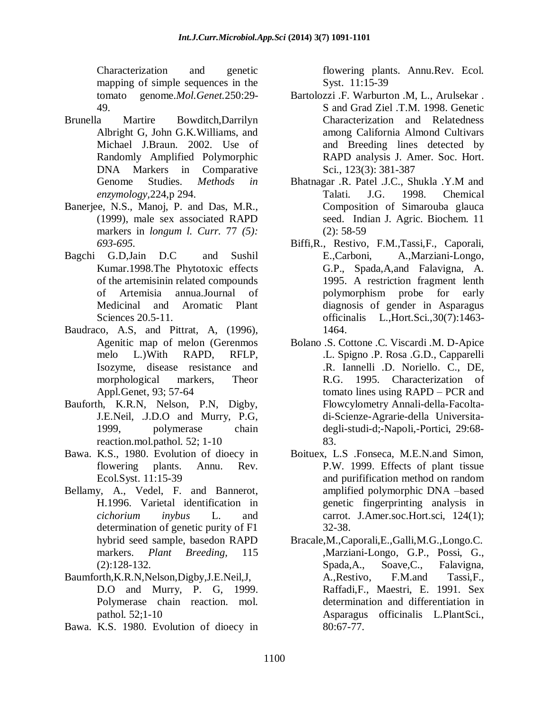Characterization and genetic mapping of simple sequences in the tomato genome.*Mol.Genet.*250:29- 49.

- Brunella Martire Bowditch,Darrilyn Albright G, John G.K.Williams, and Michael J.Braun. 2002. Use of Randomly Amplified Polymorphic DNA Markers in Comparative Genome Studies. *Methods in enzymology,*224,p 294.
- Banerjee, N.S., Manoj, P. and Das, M.R., (1999), male sex associated RAPD markers in *longum l. Curr.* 77 *(5): 693-695.*
- Bagchi G.D,Jain D.C and Sushil Kumar.1998.The Phytotoxic effects of the artemisinin related compounds of Artemisia annua.Journal of Medicinal and Aromatic Plant Sciences 20.5-11.
- Baudraco, A.S, and Pittrat, A, (1996), Agenitic map of melon (Gerenmos melo L.)With RAPD, RFLP, Isozyme, disease resistance and morphological markers, Theor Appl.Genet, 93; 57-64
- Bauforth, K.R.N, Nelson, P.N, Digby, J.E.Neil, .J.D.O and Murry, P.G, 1999, polymerase chain reaction.mol.pathol. 52; 1-10
- Bawa. K.S., 1980. Evolution of dioecy in flowering plants. Annu. Rev. Ecol.Syst. 11:15-39
- Bellamy, A., Vedel, F. and Bannerot, H.1996. Varietal identification in *cichorium inybus* L. and determination of genetic purity of F1 hybrid seed sample, basedon RAPD markers. *Plant Breeding,* 115 (2):128-132.
- Baumforth,K.R.N,Nelson,Digby,J.E.Neil,J, D.O and Murry, P. G, 1999. Polymerase chain reaction. mol. pathol. 52;1-10
- Bawa. K.S. 1980. Evolution of dioecy in

flowering plants. Annu.Rev. Ecol. Syst. 11:15-39

- Bartolozzi .F. Warburton .M, L., Arulsekar . S and Grad Ziel .T.M. 1998. Genetic Characterization and Relatedness among California Almond Cultivars and Breeding lines detected by RAPD analysis J. Amer. Soc. Hort. Sci., 123(3): 381-387
- Bhatnagar .R. Patel .J.C., Shukla .Y.M and Talati. J.G. 1998. Chemical Composition of Simarouba glauca seed. Indian J. Agric. Biochem. 11 (2): 58-59
- Biffi,R., Restivo, F.M.,Tassi,F., Caporali, E.,Carboni, A.,Marziani-Longo, G.P., Spada,A,and Falavigna, A. 1995. A restriction fragment lenth polymorphism probe for early diagnosis of gender in Asparagus officinalis L.,Hort.Sci.,30(7):1463- 1464.
- Bolano .S. Cottone .C. Viscardi .M. D-Apice .L. Spigno .P. Rosa .G.D., Capparelli .R. Iannelli .D. Noriello. C., DE, R.G. 1995. Characterization of tomato lines using RAPD – PCR and Flowcylometry Annali-della-Facoltadi-Scienze-Agrarie-della Universitadegli-studi-d;-Napoli,-Portici, 29:68- 83.
- Boituex, L.S .Fonseca, M.E.N.and Simon, P.W. 1999. Effects of plant tissue and purifification method on random amplified polymorphic DNA –based genetic fingerprinting analysis in carrot. J.Amer.soc.Hort.sci, 124(1); 32-38.
- Bracale,M.,Caporali,E.,Galli,M.G.,Longo.C. ,Marziani-Longo, G.P., Possi, G., Spada,A., Soave,C., Falavigna, A.,Restivo, F.M.and Tassi,F., Raffadi,F., Maestri, E. 1991. Sex determination and differentiation in Asparagus officinalis L.PlantSci., 80:67-77.